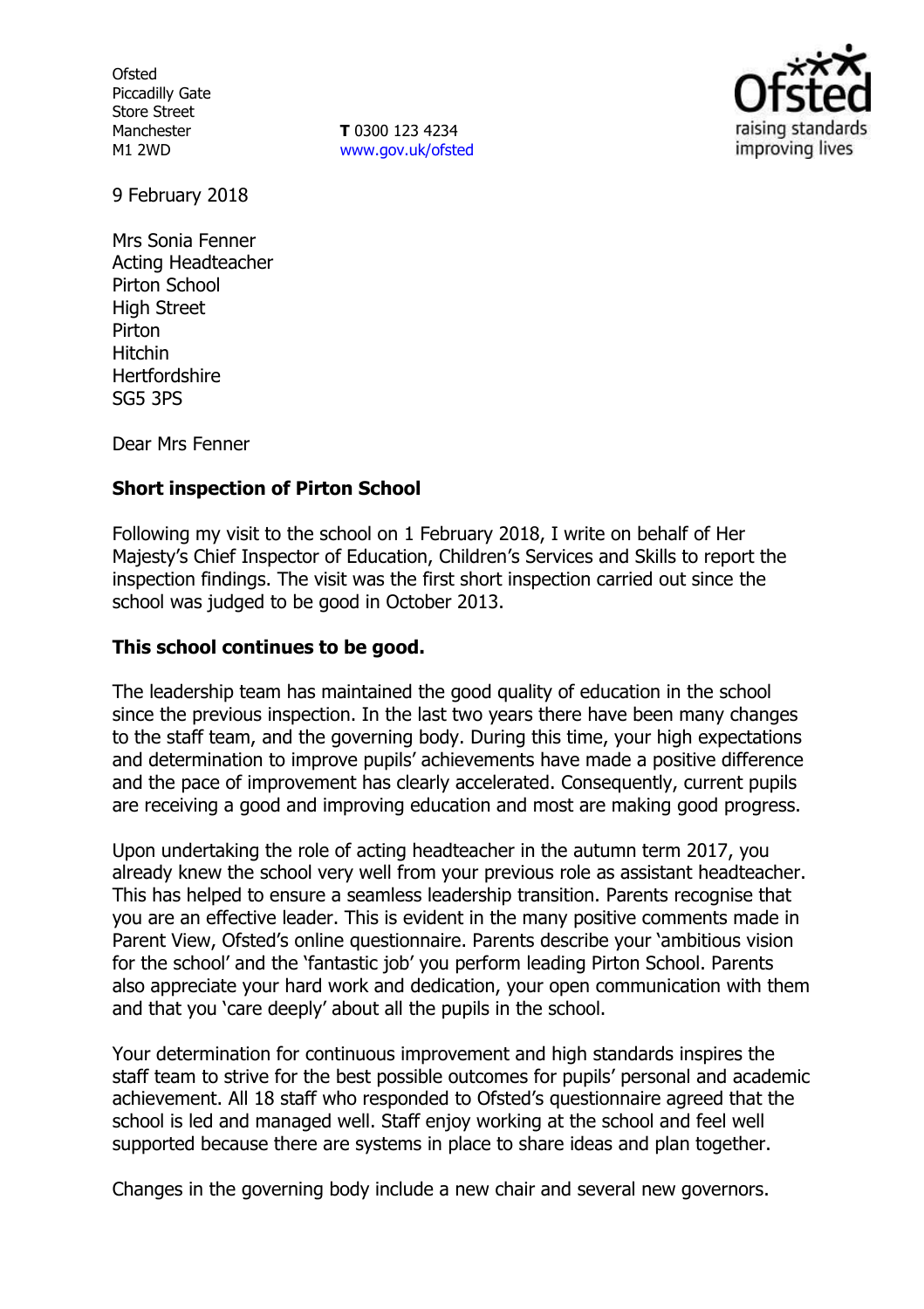**Ofsted** Piccadilly Gate Store Street Manchester M1 2WD

**T** 0300 123 4234 www.gov.uk/ofsted



9 February 2018

Mrs Sonia Fenner Acting Headteacher Pirton School High Street Pirton Hitchin **Hertfordshire** SG5 3PS

Dear Mrs Fenner

## **Short inspection of Pirton School**

Following my visit to the school on 1 February 2018, I write on behalf of Her Majesty's Chief Inspector of Education, Children's Services and Skills to report the inspection findings. The visit was the first short inspection carried out since the school was judged to be good in October 2013.

## **This school continues to be good.**

The leadership team has maintained the good quality of education in the school since the previous inspection. In the last two years there have been many changes to the staff team, and the governing body. During this time, your high expectations and determination to improve pupils' achievements have made a positive difference and the pace of improvement has clearly accelerated. Consequently, current pupils are receiving a good and improving education and most are making good progress.

Upon undertaking the role of acting headteacher in the autumn term 2017, you already knew the school very well from your previous role as assistant headteacher. This has helped to ensure a seamless leadership transition. Parents recognise that you are an effective leader. This is evident in the many positive comments made in Parent View, Ofsted's online questionnaire. Parents describe your 'ambitious vision for the school' and the 'fantastic job' you perform leading Pirton School. Parents also appreciate your hard work and dedication, your open communication with them and that you 'care deeply' about all the pupils in the school.

Your determination for continuous improvement and high standards inspires the staff team to strive for the best possible outcomes for pupils' personal and academic achievement. All 18 staff who responded to Ofsted's questionnaire agreed that the school is led and managed well. Staff enjoy working at the school and feel well supported because there are systems in place to share ideas and plan together.

Changes in the governing body include a new chair and several new governors.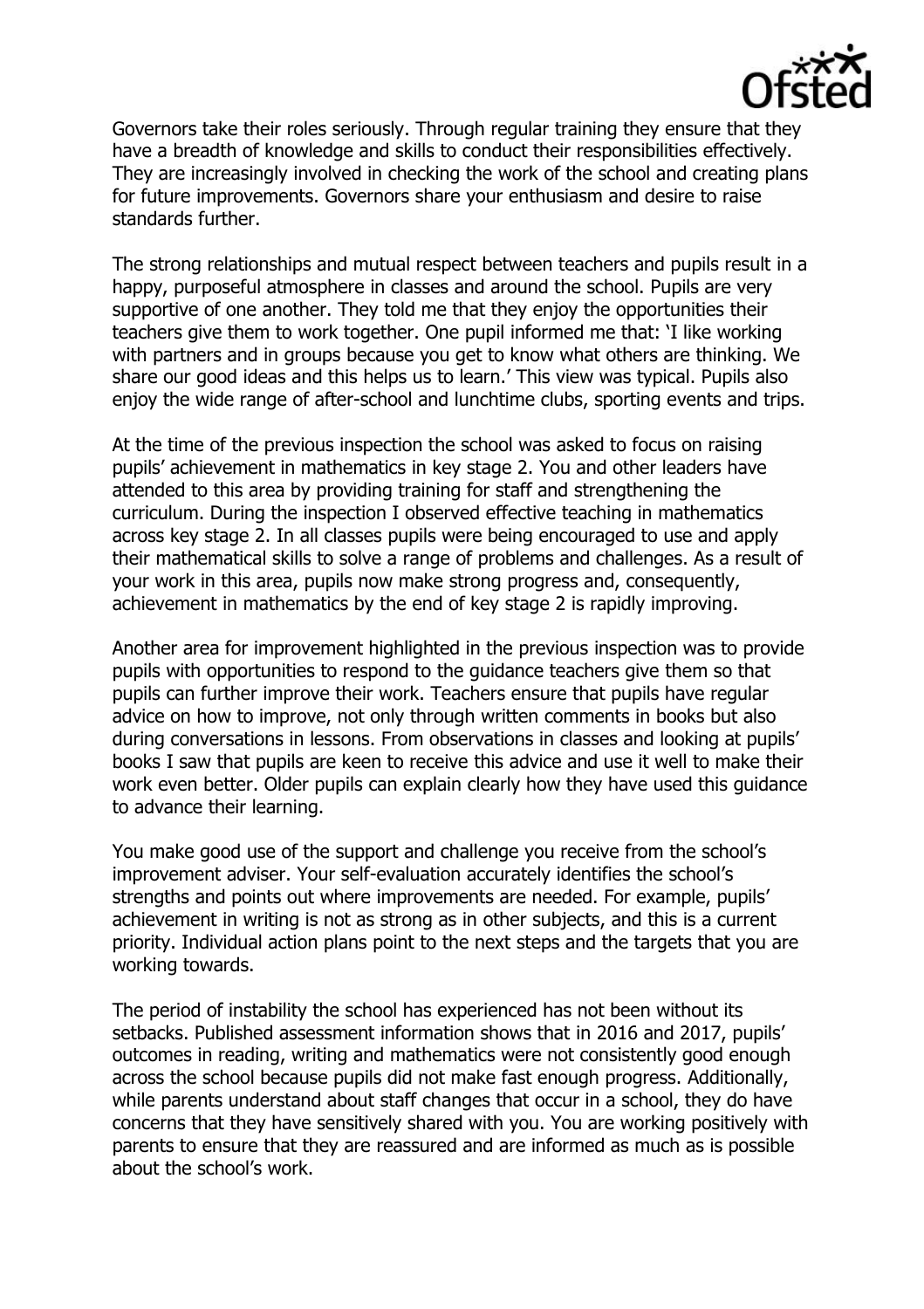

Governors take their roles seriously. Through regular training they ensure that they have a breadth of knowledge and skills to conduct their responsibilities effectively. They are increasingly involved in checking the work of the school and creating plans for future improvements. Governors share your enthusiasm and desire to raise standards further.

The strong relationships and mutual respect between teachers and pupils result in a happy, purposeful atmosphere in classes and around the school. Pupils are very supportive of one another. They told me that they enjoy the opportunities their teachers give them to work together. One pupil informed me that: 'I like working with partners and in groups because you get to know what others are thinking. We share our good ideas and this helps us to learn.' This view was typical. Pupils also enjoy the wide range of after-school and lunchtime clubs, sporting events and trips.

At the time of the previous inspection the school was asked to focus on raising pupils' achievement in mathematics in key stage 2. You and other leaders have attended to this area by providing training for staff and strengthening the curriculum. During the inspection I observed effective teaching in mathematics across key stage 2. In all classes pupils were being encouraged to use and apply their mathematical skills to solve a range of problems and challenges. As a result of your work in this area, pupils now make strong progress and, consequently, achievement in mathematics by the end of key stage 2 is rapidly improving.

Another area for improvement highlighted in the previous inspection was to provide pupils with opportunities to respond to the guidance teachers give them so that pupils can further improve their work. Teachers ensure that pupils have regular advice on how to improve, not only through written comments in books but also during conversations in lessons. From observations in classes and looking at pupils' books I saw that pupils are keen to receive this advice and use it well to make their work even better. Older pupils can explain clearly how they have used this guidance to advance their learning.

You make good use of the support and challenge you receive from the school's improvement adviser. Your self-evaluation accurately identifies the school's strengths and points out where improvements are needed. For example, pupils' achievement in writing is not as strong as in other subjects, and this is a current priority. Individual action plans point to the next steps and the targets that you are working towards.

The period of instability the school has experienced has not been without its setbacks. Published assessment information shows that in 2016 and 2017, pupils' outcomes in reading, writing and mathematics were not consistently good enough across the school because pupils did not make fast enough progress. Additionally, while parents understand about staff changes that occur in a school, they do have concerns that they have sensitively shared with you. You are working positively with parents to ensure that they are reassured and are informed as much as is possible about the school's work.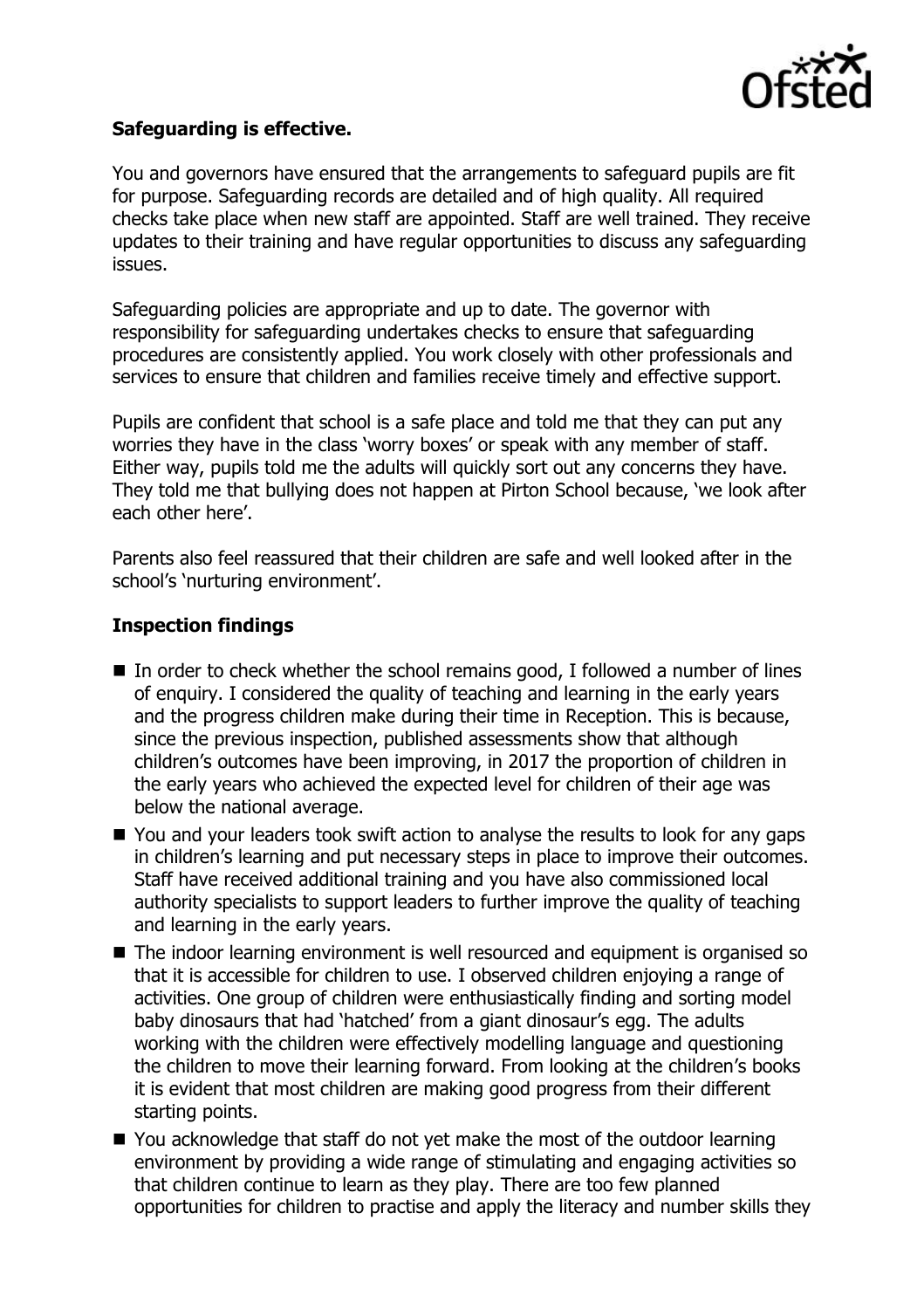

## **Safeguarding is effective.**

You and governors have ensured that the arrangements to safeguard pupils are fit for purpose. Safeguarding records are detailed and of high quality. All required checks take place when new staff are appointed. Staff are well trained. They receive updates to their training and have regular opportunities to discuss any safeguarding issues.

Safeguarding policies are appropriate and up to date. The governor with responsibility for safeguarding undertakes checks to ensure that safeguarding procedures are consistently applied. You work closely with other professionals and services to ensure that children and families receive timely and effective support.

Pupils are confident that school is a safe place and told me that they can put any worries they have in the class 'worry boxes' or speak with any member of staff. Either way, pupils told me the adults will quickly sort out any concerns they have. They told me that bullying does not happen at Pirton School because, 'we look after each other here'.

Parents also feel reassured that their children are safe and well looked after in the school's 'nurturing environment'.

## **Inspection findings**

- $\blacksquare$  In order to check whether the school remains good, I followed a number of lines of enquiry. I considered the quality of teaching and learning in the early years and the progress children make during their time in Reception. This is because, since the previous inspection, published assessments show that although children's outcomes have been improving, in 2017 the proportion of children in the early years who achieved the expected level for children of their age was below the national average.
- You and your leaders took swift action to analyse the results to look for any gaps in children's learning and put necessary steps in place to improve their outcomes. Staff have received additional training and you have also commissioned local authority specialists to support leaders to further improve the quality of teaching and learning in the early years.
- The indoor learning environment is well resourced and equipment is organised so that it is accessible for children to use. I observed children enjoying a range of activities. One group of children were enthusiastically finding and sorting model baby dinosaurs that had 'hatched' from a giant dinosaur's egg. The adults working with the children were effectively modelling language and questioning the children to move their learning forward. From looking at the children's books it is evident that most children are making good progress from their different starting points.
- You acknowledge that staff do not yet make the most of the outdoor learning environment by providing a wide range of stimulating and engaging activities so that children continue to learn as they play. There are too few planned opportunities for children to practise and apply the literacy and number skills they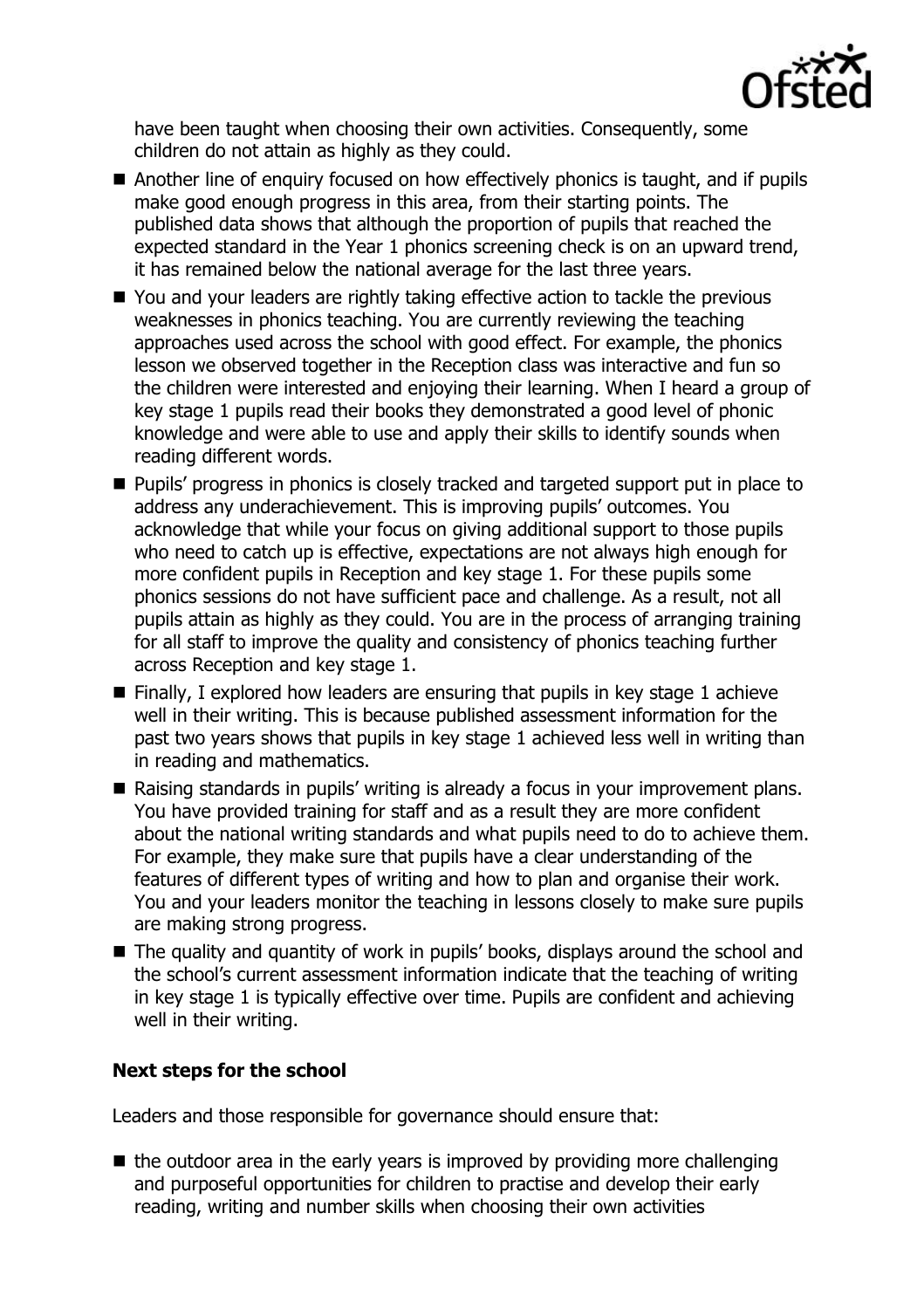

have been taught when choosing their own activities. Consequently, some children do not attain as highly as they could.

- Another line of enquiry focused on how effectively phonics is taught, and if pupils make good enough progress in this area, from their starting points. The published data shows that although the proportion of pupils that reached the expected standard in the Year 1 phonics screening check is on an upward trend, it has remained below the national average for the last three years.
- You and your leaders are rightly taking effective action to tackle the previous weaknesses in phonics teaching. You are currently reviewing the teaching approaches used across the school with good effect. For example, the phonics lesson we observed together in the Reception class was interactive and fun so the children were interested and enjoying their learning. When I heard a group of key stage 1 pupils read their books they demonstrated a good level of phonic knowledge and were able to use and apply their skills to identify sounds when reading different words.
- **Pupils' progress in phonics is closely tracked and targeted support put in place to** address any underachievement. This is improving pupils' outcomes. You acknowledge that while your focus on giving additional support to those pupils who need to catch up is effective, expectations are not always high enough for more confident pupils in Reception and key stage 1. For these pupils some phonics sessions do not have sufficient pace and challenge. As a result, not all pupils attain as highly as they could. You are in the process of arranging training for all staff to improve the quality and consistency of phonics teaching further across Reception and key stage 1.
- $\blacksquare$  Finally, I explored how leaders are ensuring that pupils in key stage 1 achieve well in their writing. This is because published assessment information for the past two years shows that pupils in key stage 1 achieved less well in writing than in reading and mathematics.
- Raising standards in pupils' writing is already a focus in your improvement plans. You have provided training for staff and as a result they are more confident about the national writing standards and what pupils need to do to achieve them. For example, they make sure that pupils have a clear understanding of the features of different types of writing and how to plan and organise their work. You and your leaders monitor the teaching in lessons closely to make sure pupils are making strong progress.
- The quality and quantity of work in pupils' books, displays around the school and the school's current assessment information indicate that the teaching of writing in key stage 1 is typically effective over time. Pupils are confident and achieving well in their writing.

# **Next steps for the school**

Leaders and those responsible for governance should ensure that:

 $\blacksquare$  the outdoor area in the early years is improved by providing more challenging and purposeful opportunities for children to practise and develop their early reading, writing and number skills when choosing their own activities